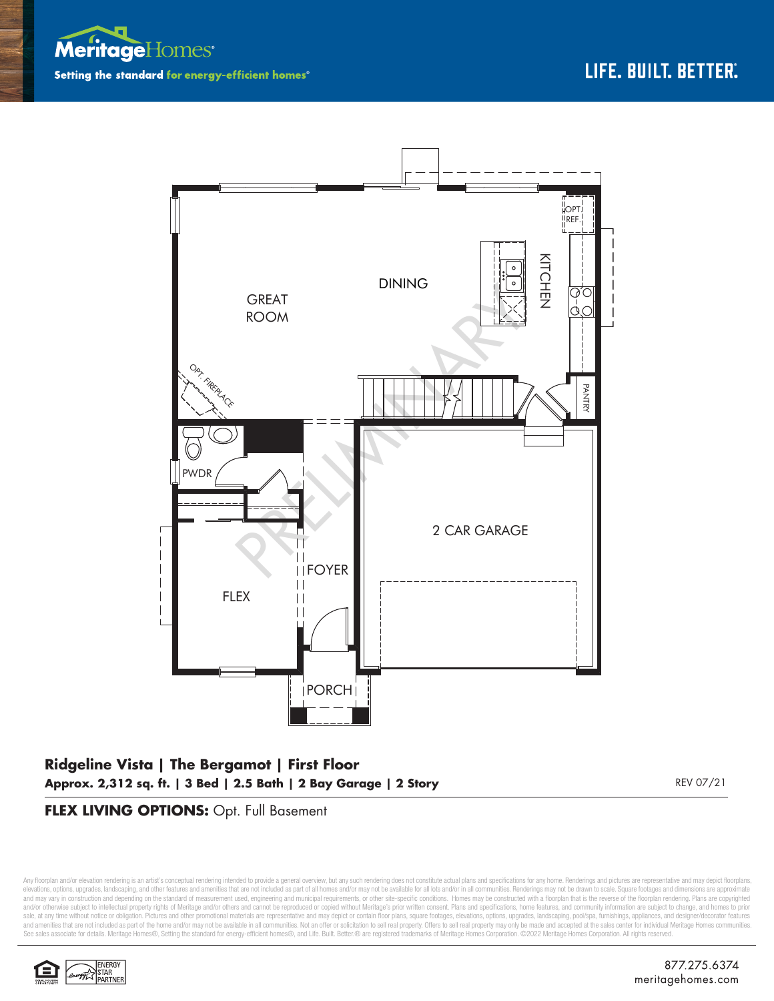



# **Ridgeline Vista | The Bergamot | First Floor Approx. 2,312 sq. ft. | 3 Bed | 2.5 Bath | 2 Bay Garage | 2 Story** REV 07/21

### **FLEX LIVING OPTIONS:** Opt. Full Basement

Any floorplan and/or elevation rendering is an artist's conceptual rendering intended to provide a general overview, but any such rendering does not constitute actual plans and specifications for any home. Renderings and p elevations, options, upgrades, landscaping, and other features and amenities that are not included as part of all homes and/or may not be available for all lots and/or in all communities. Renderings may not be drawn to sca and may vary in construction and depending on the standard of measurement used, engineering and municipal requirements, or other site-specific conditions. Homes may be constructed with a floorplan that is the reverse of th and/or otherwise subject to intellectual property rights of Meritage and/or others and cannot be reproduced or copied without Meritage's prior written consent. Plans and specifications, home features, and community informa sale, at any time without notice or obligation. Pictures and other promotional materials are representative and may depict or contain floor plans, square footages, elevations, options, upgrades, landscaping, pool/spa, furn See sales associate for details. Meritage Homes®, Setting the standard for energy-efficient homes®, and Life. Built. Better. @ are registered trademarks of Meritage Homes Corporation. ©2022 Meritage Homes Corporation. All

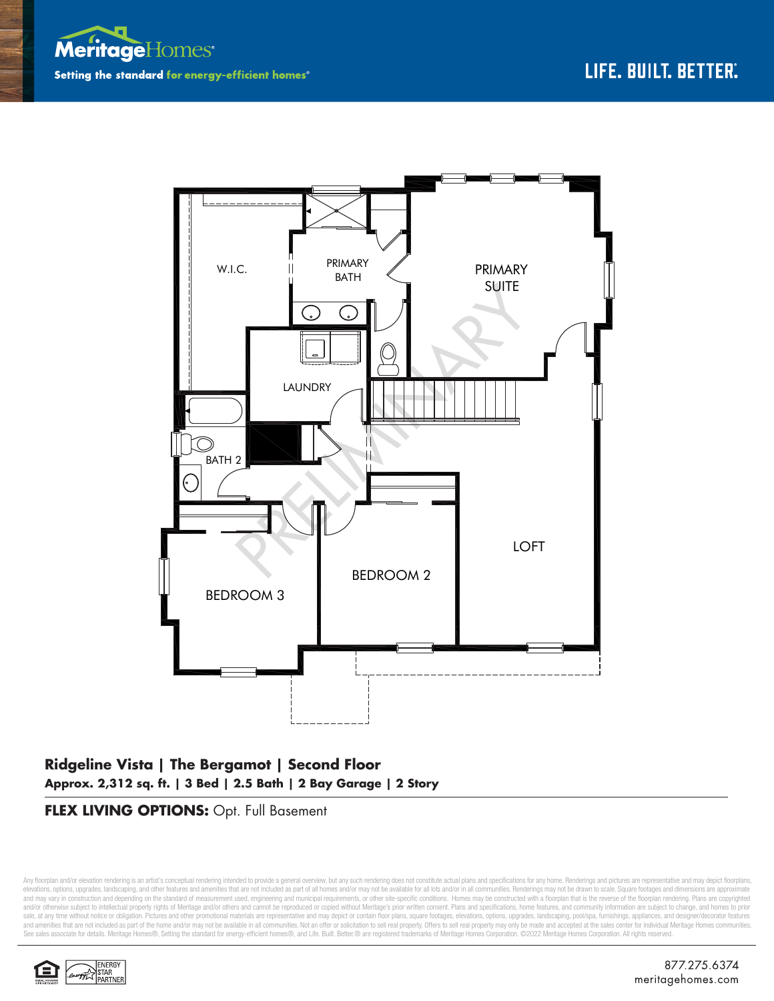



# **Ridgeline Vista | The Bergamot | Second Floor Approx. 2,312 sq. ft. | 3 Bed | 2.5 Bath | 2 Bay Garage | 2 Story**

### **FLEX LIVING OPTIONS:** Opt. Full Basement

Any floorplan and/or elevation rendering is an artist's conceptual rendering intended to provide a general overview, but any such rendering does not constitute actual plans and specifications for any home. Renderings and p elevations, options, upgrades, landscaping, and other features and amenities that are not included as part of all homes and/or may not be available for all lots and/or in all communities. Renderings may not be drawn to sca and may vary in construction and depending on the standard of measurement used, engineering and municipal requirements, or other site-specific conditions. Homes may be constructed with a floorplan that is the reverse of th and/or otherwise subject to intellectual property rights of Meritage and/or others and cannot be reproduced or copied without Meritage's prior written consent. Plans and specifications, home features, and community informa sale, at any time without notice or obligation. Pictures and other promotional materials are representative and may depict or contain floor plans, square footages, elevations, options, upgrades, landscaping, pool/spa, furn See sales associate for details. Meritage Homes®, Setting the standard for energy-efficient homes®, and Life. Built. Better. @ are registered trademarks of Meritage Homes Corporation. ©2022 Meritage Homes Corporation. All